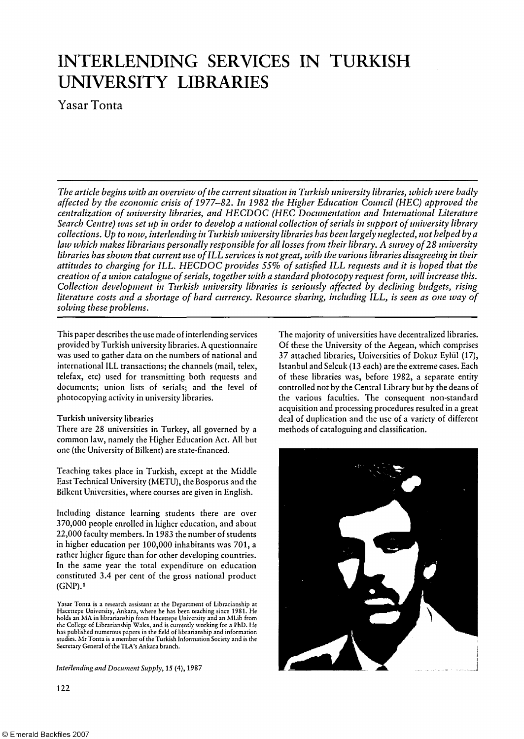# INTERLENDING SERVICES IN TURKISH UNIVERSITY LIBRARIES

Yasar Tonta

*The article begins with an overview of the current situation in Turkish university libraries, which were badly affected by the economic crisis of 1977-82. In 1982 the Higher Education Council (HEC) approved the centralization of university libraries, and HECDOC (HEC Documentation and International Literature Search Centre) was set up in order to develop a national collection of serials in support of university library collections. Up to now, interlending in Turkish university libraries has been largely neglected, not helped by a law which makes librarians personally responsible for all losses from their library. A survey of 28 university libraries has shown that current use of ILL services is not great, with the various libraries disagreeing in their attitudes to charging for ILL. HECDOC provides 55% of satisfied ILL requests and it is hoped that the creation of a union catalogue of serials, together with a standard photocopy request form, will increase this. Collection development in Turkish university libraries is seriously affected by declining budgets, rising literature costs and a shortage of hard currency. Resource sharing, including ILL, is seen as one way of solving these problems.* 

This paper describes the use made of interlending services provided by Turkish university libraries. A questionnaire was used to gather data on the numbers of national and international ILL transactions; the channels (mail, telex, telefax, etc) used for transmitting both requests and documents; union lists of serials; and the level of photocopying activity in university libraries.

## Turkish university libraries

There are 28 universities in Turkey, all governed by a common law, namely the Higher Education Act. All but one (the University of Bilkent) are state-financed.

Teaching takes place in Turkish, except at the Middle East Technical University (METU), the Bosporus and the Bilkent Universities, where courses are given in English.

Including distance learning students there are over 370,000 people enrolled in higher education, and about 22,000 faculty members. In 1983 the number of students in higher education per 100,000 inhabitants was 701, a rather higher figure than for other developing countries. In the same year the total expenditure on education constituted 3.4 per cent of the gross national product (GNP).<sup>1</sup>

Yasar Tonta is a research assistant at the Department of Librarianship at Hacettepe University, Ankara, where he has been teaching since 1981. He holds an MA in librarianship from Hacettepe University and an MLib from the College of Librarianship Wales, and is currently working for a PhD. He has published numerous papers in the field of librarianship and information studies. Mr Tonta is a member of the Turkish Information Society and is the Secretary General of the TLA's Ankara branch.

*Interlending and Document Supply,* 15 (4), 1987

The majority of universities have decentralized libraries. Of these the University of the Aegean, which comprises 37 attached libraries, Universities of Dokuz Eylül (17), Istanbul and Selcuk (13 each) are the extreme cases. Each of these libraries was, before 1982, a separate entity controlled not by the Central Library but by the deans of the various faculties. The consequent non-standard acquisition and processing procedures resulted in a great deal of duplication and the use of a variety of different methods of cataloguing and classification.



122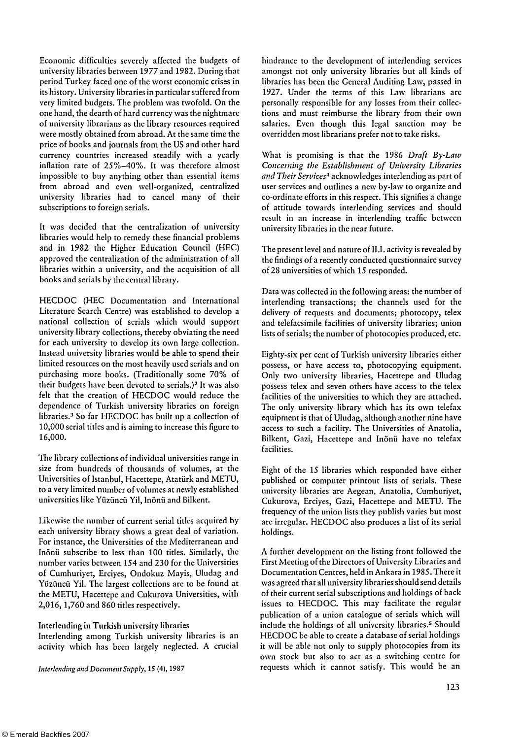Economic difficulties severely affected the budgets of university libraries between 1977 and 1982. During that period Turkey faced one of the worst economic crises in its history. University libraries in particular suffered from very limited budgets. The problem was twofold. On the one hand, the dearth of hard currency was the nightmare of university librarians as the library resources required were mostly obtained from abroad. At the same time the price of books and journals from the US and other hard currency countries increased steadily with a yearly inflation rate of 25%-40%. It was therefore almost impossible to buy anything other than essential items from abroad and even well-organized, centralized university libraries had to cancel many of their subscriptions to foreign serials.

It was decided that the centralization of university libraries would help to remedy these financial problems and in 1982 the Higher Education Council (HEC) approved the centralization of the administration of all libraries within a university, and the acquisition of all books and serials by the central library.

HECDOC (HEC Documentation and International Literature Search Centre) was established to develop a national collection of serials which would support university library collections, thereby obviating the need for each university to develop its own large collection. Instead university libraries would be able to spend their limited resources on the most heavily used serials and on purchasing more books. (Traditionally some 70% of .<br>their budgets have been devoted to serials.)<sup>2</sup> It was also felt that the creation of HECDOC would reduce the dependence of Turkish university libraries on foreign libraries.<sup>3</sup> So far HECDOC has built up a collection of 10,000 serial titles and is aiming to increase this figure to 16,000.

The library collections of individual universities range in size from hundreds of thousands of volumes, at the Universities of Istanbul, Hacettepe, Atatürk and METU, to a very limited number of volumes at newly established universities like Yüzüncü Yil, Inönü and Bilkent.

Likewise the number of current serial titles acquired by each university library shows a great deal of variation. For instance, the Universities of the Mediterranean and Inönü subscribe to less than 100 titles. Similarly, the number varies between 154 and 230 for the Universities of Cumhuriyet, Erciyes, Ondokuz Mayis, Uludag and Yüzüncü Yil. The largest collections are to be found at the METU, Hacettepe and Cukurova Universities, with 2,016, 1,760 and 860 titles respectively.

#### Interlending in Turkish university libraries

Interlending among Turkish university libraries is an activity which has been largely neglected. A crucial

hindrance to the development of interlending services amongst not only university libraries but all kinds of libraries has been the General Auditing Law, passed in 1927. Under the terms of this Law librarians are personally responsible for any losses from their collections and must reimburse the library from their own salaries. Even though this legal sanction may be overridden most librarians prefer not to take risks.

What is promising is that the 1986 *Draft By-Law Concerning the Establishment of University Libraries*  and Their Services<sup>4</sup> acknowledges interlending as part of user services and outlines a new by-law to organize and co-ordinate efforts in this respect. This signifies a change of attitude towards interlending services and should result in an increase in interlending traffic between university libraries in the near future.

The present level and nature of ILL activity is revealed by the findings of a recently conducted questionnaire survey of 28 universities of which 15 responded.

Data was collected in the following areas: the number of interlending transactions; the channels used for the delivery of requests and documents; photocopy, telex and telefacsimile facilities of university libraries; union lists of serials; the number of photocopies produced, etc.

Eighty-six per cent of Turkish university libraries either possess, or have access to, photocopying equipment. Only two university libraries, Hacettepe and Uludag possess telex and seven others have access to the telex facilities of the universities to which they are attached. The only university library which has its own telefax equipment is that of Uludag, although another nine have access to such a facility. The Universities of Anatolia, Bilkent, Gazi, Hacettepe and Inönü have no telefax facilities.

Eight of the 15 libraries which responded have either published or computer printout lists of serials. These university libraries are Aegean, Anatolia, Cumhuriyet, Cukurova, Erciyes, Gazi, Hacettepe and METU. The frequency of the union lists they publish varies but most are irregular. HECDOC also produces a list of its serial holdings.

A further development on the listing front followed the First Meeting of the Directors of University Libraries and Documentation Centres, held in Ankara in 1985. There it was agreed that all university libraries should send details of their current serial subscriptions and holdings of back issues to HECDOC. This may facilitate the regular publication of a union catalogue of serials which will include the holdings of all university libraries.<sup>5</sup> Should HECDOC be able to create a database of serial holdings it will be able not only to supply photocopies from its own stock but also to act as a switching centre for requests which it cannot satisfy. This would be an *Interlending and Document Supply,* 15 (4), 1987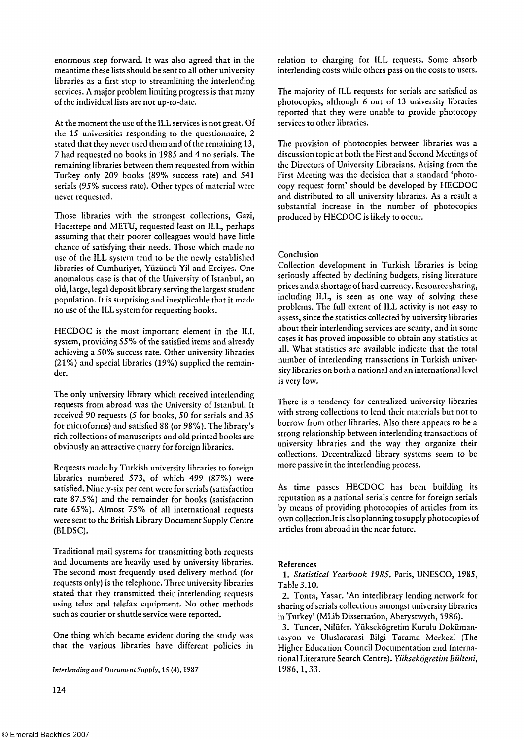enormous step forward. It was also agreed that in the meantime these lists should be sent to all other university libraries as a first step to streamlining the interlending services. A major problem limiting progress is that many of the individual lists are not up-to-date.

At the moment the use of the ILL services is not great. Of the 15 universities responding to the questionnaire, 2 stated that they never used them and of the remaining 13, 7 had requested no books in 1985 and 4 no serials. The remaining libraries between them requested from within Turkey only 209 books (89% success rate) and 541 serials (95% success rate). Other types of material were never requested.

Those libraries with the strongest collections, Gazi, Hacettepe and METU, requested least on ILL, perhaps assuming that their poorer colleagues would have little chance of satisfying their needs. Those which made no use of the ILL system tend to be the newly established libraries of Cumhuriyet, Yüzüncü Yil and Erciyes. One anomalous case is that of the University of Istanbul, an old, large, legal deposit library serving the largest student population. It is surprising and inexplicable that it made no use of the ILL system for requesting books.

HECDOC is the most important element in the ILL system, providing 55% of the satisfied items and already achieving a 50% success rate. Other university libraries (21%) and special libraries (19%) supplied the remainder.

The only university library which received interlending requests from abroad was the University of Istanbul. It received 90 requests (5 for books, 50 for serials and 35 for microforms) and satisfied 88 (or 98%). The library's rich collections of manuscripts and old printed books are obviously an attractive quarry for foreign libraries.

Requests made by Turkish university libraries to foreign libraries numbered 573, of which 499 (87%) were satisfied. Ninety-six per cent were for serials (satisfaction rate 87.5%) and the remainder for books (satisfaction rate 65%). Almost 75% of all international requests were sent to the British Library Document Supply Centre (BLDSC).

Traditional mail systems for transmitting both requests and documents are heavily used by university libraries. The second most frequently used delivery method (for requests only) is the telephone. Three university libraries stated that they transmitted their interlending requests using telex and telefax equipment. No other methods such as courier or shuttle service were reported.

One thing which became evident during the study was that the various libraries have different policies in

*Interlending and Document Supply,* 15 (4), 1987 1986, 1, 33.

the Directors of University Librarians. Arising from the First Meeting was the decision that a standard 'photocopy request form' should be developed by HECDOC and distributed to all university libraries. As a result a substantial increase in the number of photocopies produced by HECDOC is likely to occur.

The provision of photocopies between libraries was a discussion topic at both the First and Second Meetings of

relation to charging for ILL requests. Some absorb interlending costs while others pass on the costs to users.

The majority of ILL requests for serials are satisfied as photocopies, although 6 out of 13 university libraries reported that they were unable to provide photocopy

# Conclusion

services to other libraries.

Collection development in Turkish libraries is being seriously affected by declining budgets, rising literature prices and a shortage of hard currency. Resource sharing, including ILL, is seen as one way of solving these problems. The full extent of ILL activity is not easy to assess, since the statistics collected by university libraries about their interlending services are scanty, and in some cases it has proved impossible to obtain any statistics at all. What statistics are available indicate that the total number of interlending transactions in Turkish university libraries on both a national and an international level is very low.

There is a tendency for centralized university libraries with strong collections to lend their materials but not to borrow from other libraries. Also there appears to be a strong relationship between interlending transactions of university libraries and the way they organize their collections. Decentralized library systems seem to be more passive in the interlending process.

As time passes HECDOC has been building its reputation as a national serials centre for foreign serials by means of providing photocopies of articles from its own [collection. It i](http://collection.lt)s also planning to supply photocopiesof articles from abroad in the near future.

## References

1. *Statistical Yearbook 1985.* Paris, UNESCO, 1985, Table 3.10.

2. Tonta, Yasar. 'An interlibrary lending network for sharing of serials collections amongst university libraries in Turkey' (MLib Dissertation, Aberystwyth, 1986).

3. Tuncer, Nilüfer. Yüksekögretim Kurulu Dokümantasyon ve Uluslararasi Bilgi Tarama Merkezi (The Higher Education Council Documentation and International Literature Search Centre). *Yüksekögretim Bülteni,*